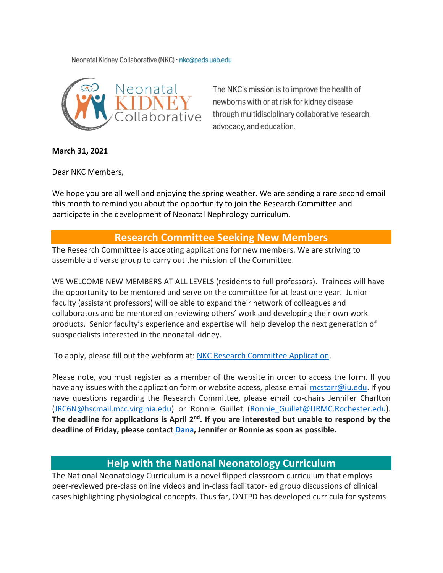Neonatal Kidney Collaborative (NKC) · nkc@peds.uab.edu



The NKC's mission is to improve the health of newborns with or at risk for kidney disease through multidisciplinary collaborative research, advocacy, and education.

**March 31, 2021**

Dear NKC Members,

We hope you are all well and enjoying the spring weather. We are sending a rare second email this month to remind you about the opportunity to join the Research Committee and participate in the development of Neonatal Nephrology curriculum.

## **Research Committee Seeking New Members**

The Research Committee is accepting applications for new members. We are striving to assemble a diverse group to carry out the mission of the Committee.

WE WELCOME NEW MEMBERS AT ALL LEVELS (residents to full professors). Trainees will have the opportunity to be mentored and serve on the committee for at least one year. Junior faculty (assistant professors) will be able to expand their network of colleagues and collaborators and be mentored on reviewing others' work and developing their own work products. Senior faculty's experience and expertise will help develop the next generation of subspecialists interested in the neonatal kidney.

To apply, please fill out the webform at: NKC Research Committee [Application.](https://urldefense.proofpoint.com/v2/url?u=https-3A__www.babykidney.org_nkcmembers_research-2Dcommittee-2Dapplication&d=DwIGaQ&c=4sF48jRmVAe_CH-k9mXYXEGfSnM3bY53YSKuLUQRxhA&r=u6c3n2P3Q9FtFqkVP03NECxVHLpeTJRqLnWJQ1XbsAthknr6ygAZcigW27h63mbB&m=PIQCtXlXapX4zAe2tcs9SFfTE1oEmydH1_XIltEZmBA&s=U7bb3j2Q-xfEsyX9wEYm01BtO0ofSiVhcb1VxNt5I4o&e=)

Please note, you must register as a member of the website in order to access the form. If you have any issues with the application form or website access, please email mostarr@iu.edu. If you have questions regarding the Research Committee, please email co-chairs Jennifer Charlton [\(JRC6N@hscmail.mcc.virginia.edu\)](mailto:JRC6N@hscmail.mcc.virginia.edu) or Ronnie Guillet [\(Ronnie\\_Guillet@URMC.Rochester.edu\)](mailto:Ronnie_Guillet@URMC.Rochester.edu). The deadline for applications is April 2<sup>nd</sup>. If you are interested but unable to respond by the **deadline of Friday, please contact [Dana,](mailto:nkc@peds.uab.edu) Jennifer or Ronnie as soon as possible.** 

## **Help with the National Neonatology Curriculum**

The National Neonatology Curriculum is a novel flipped classroom curriculum that employs peer-reviewed pre-class online videos and in-class facilitator-led group discussions of clinical cases highlighting physiological concepts. Thus far, ONTPD has developed curricula for systems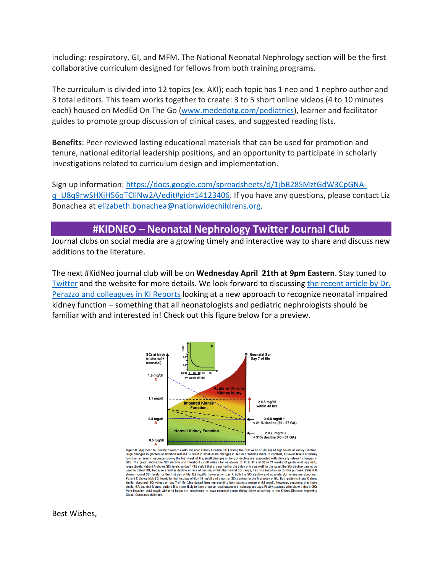including: respiratory, GI, and MFM. The National Neonatal Nephrology section will be the first collaborative curriculum designed for fellows from both training programs.

The curriculum is divided into 12 topics (ex. AKI); each topic has 1 neo and 1 nephro author and 3 total editors. This team works together to create: 3 to 5 short online videos (4 to 10 minutes each) housed on MedEd On The Go [\(www.mededotg.com/pediatrics\)](http://www.mededotg.com/pediatrics), learner and facilitator guides to promote group discussion of clinical cases, and suggested reading lists.

**Benefits**: Peer-reviewed lasting educational materials that can be used for promotion and tenure, national editorial leadership positions, and an opportunity to participate in scholarly investigations related to curriculum design and implementation.

Sign up information: [https://docs.google.com/spreadsheets/d/1jbB28SMztGdW3CpGNA](https://docs.google.com/spreadsheets/d/1jbB28SMztGdW3CpGNA-q_U8q9rwSHXjH56qTCIlNw2A/edit#gid=14123406)[q\\_U8q9rwSHXjH56qTCIlNw2A/edit#gid=14123406.](https://docs.google.com/spreadsheets/d/1jbB28SMztGdW3CpGNA-q_U8q9rwSHXjH56qTCIlNw2A/edit#gid=14123406) If you have any questions, please contact Liz Bonachea at [elizabeth.bonachea@nationwidechildrens.org.](mailto:elizabeth.bonachea@nationwidechildrens.org)

## **#KIDNEO – Neonatal Nephrology Twitter Journal Club**

Journal clubs on social media are a growing timely and interactive way to share and discuss new additions to the literature.

The next #KidNeo journal club will be on **Wednesday April 21th at 9pm Eastern**. Stay tuned to [Twitter](https://twitter.com/neonatalkidney) and the website for more details. We look forward to discussing [the recent article by Dr.](https://www.kireports.org/article/S2468-0249(20)31632-6/abstract)  [Perazzo and colleagues in KI Reports](https://www.kireports.org/article/S2468-0249(20)31632-6/abstract) looking at a new approach to recognize neonatal impaired kidney function – something that all neonatologists and pediatric nephrologists should be familiar with and interested in! Check out this figure below for a preview.



Figure 8. Approach to identify newborns with impaired kidney function (IKF) during the first week of life. (a) At high levels of kidney function, Figure 8. Approach to identify newboms with impaired kidney knocking is then first week of life. (a) At high levels of kidney function, as sequences a property and the first week of Kidney function, as compared in the con Patient C shows high SCr levels for the first day of life (1.6 mg/dl) and a normal SCr decline for the first week of life. Both patients B and C show returns to show ingit of the state of the fiber dotted lines representing both patients merge at 0.8 mg/dl). However, assuming they have similar abnormal SCr values on day 7 of life (blue dotted lines representing both pat

Best Wishes,